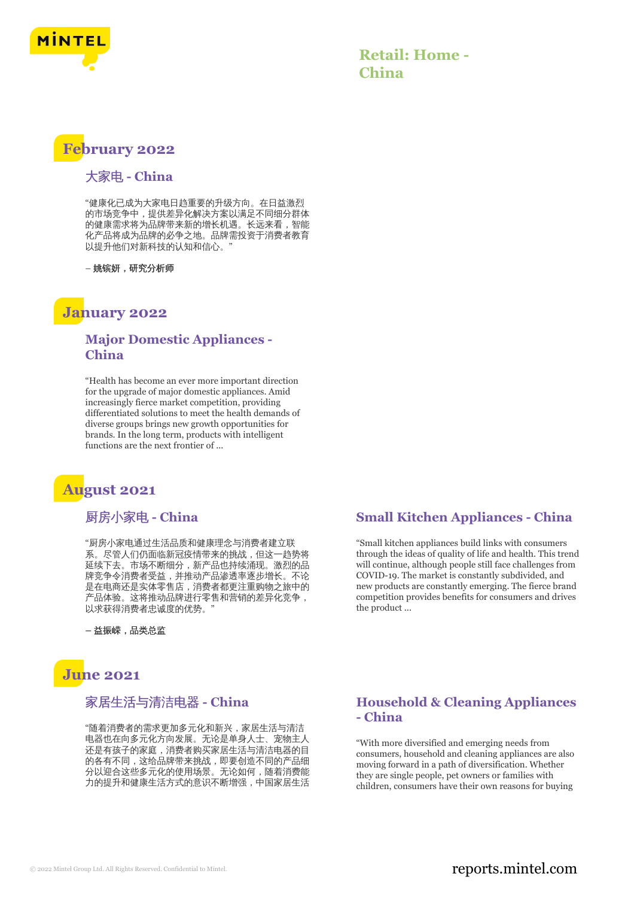

## **Retail: Home - China**

# **February 2022**

#### 大家电 **- China**

"健康化已成为大家电日趋重要的升级方向。在日益激烈 的市场竞争中,提供差异化解决方案以满足不同细分群体 的健康需求将为品牌带来新的增长机遇。长远来看,智能 化产品将成为品牌的必争之地。品牌需投资于消费者教育 以提升他们对新科技的认知和信心。"

– 姚镔妍,研究分析师

## **January 2022**

#### **Major Domestic Appliances - China**

"Health has become an ever more important direction for the upgrade of major domestic appliances. Amid increasingly fierce market competition, providing differentiated solutions to meet the health demands of diverse groups brings new growth opportunities for brands. In the long term, products with intelligent functions are the next frontier of ...

# **August 2021**

#### 厨房小家电 **- China**

"厨房小家电通过生活品质和健康理念与消费者建立联 系。尽管人们仍面临新冠疫情带来的挑战,但这一趋势将 延续下去。市场不断细分,新产品也持续涌现。激烈的品 牌竞争令消费者受益,并推动产品渗透率逐步增长。不论 是在电商还是实体零售店,消费者都更注重购物之旅中的 产品体验。这将推动品牌进行零售和营销的差异化竞争, 以求获得消费者忠诚度的优势。"

**–** 益振嵘,品类总监

# **June 2021**

### 家居生活与清洁电器 **- China**

"随着消费者的需求更加多元化和新兴,家居生活与清洁 电器也在向多元化方向发展。无论是单身人士、宠物主人 还是有孩子的家庭,消费者购买家居生活与清洁电器的目 的各有不同,这给品牌带来挑战,即要创造不同的产品细 分以迎合这些多元化的使用场景。无论如何,随着消费能 力的提升和健康生活方式的意识不断增强,中国家居生活

#### **Small Kitchen Appliances - China**

"Small kitchen appliances build links with consumers through the ideas of quality of life and health. This trend will continue, although people still face challenges from COVID-19. The market is constantly subdivided, and new products are constantly emerging. The fierce brand competition provides benefits for consumers and drives the product ...

### **Household & Cleaning Appliances - China**

"With more diversified and emerging needs from consumers, household and cleaning appliances are also moving forward in a path of diversification. Whether they are single people, pet owners or families with children, consumers have their own reasons for buying

### © 2022 Mintel Group Ltd. All Rights Reserved. Confidential to Mintel.  $\blacksquare$  reports.mintel.com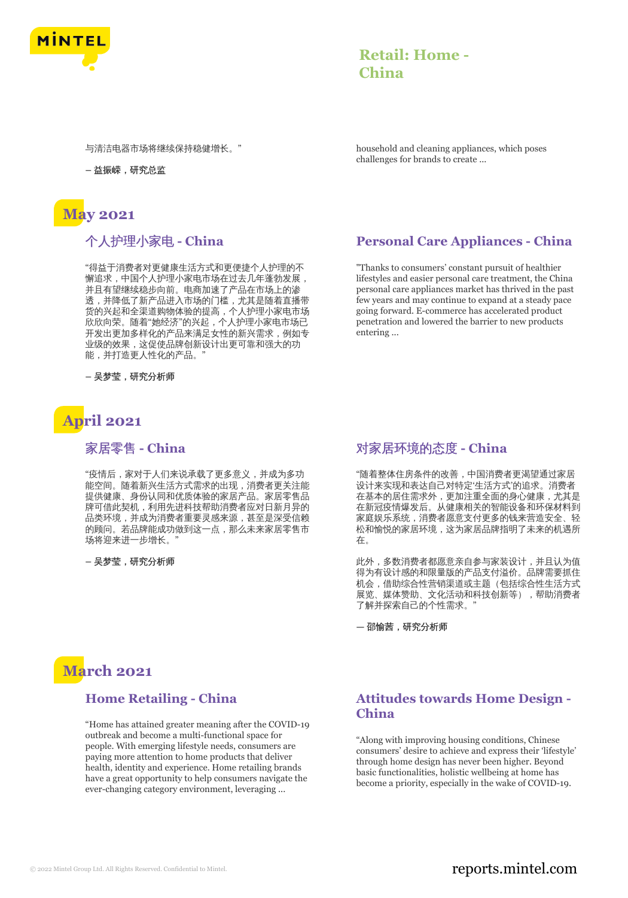

## **Retail: Home - China**

与清洁电器市场将继续保持稳健增长。"

**–** 益振嵘,研究总监

# **May 2021**

个人护理小家电 **- China**

"得益于消费者对更健康生活方式和更便捷个人护理的不 懈追求,中国个人护理小家电市场在过去几年蓬勃发展, 并且有望继续稳步向前。电商加速了产品在市场上的渗 透,并降低了新产品进入市场的门槛,尤其是随着直播带 货的兴起和全渠道购物体验的提高,个人护理小家电市场 欣欣向荣。随着"她经济"的兴起,个人护理小家电市场已 开发出更加多样化的产品来满足女性的新兴需求,例如专 业级的效果,这促使品牌创新设计出更可靠和强大的功 能,并打造更人性化的产品。"

**–** 吴梦莹,研究分析师

# **April 2021**

### 家居零售 **- China**

"疫情后,家对于人们来说承载了更多意义,并成为多功 能空间。随着新兴生活方式需求的出现,消费者更关注能 提供健康、身份认同和优质体验的家居产品。家居零售品 牌可借此契机,利用先进科技帮助消费者应对日新月异的 品类环境,并成为消费者重要灵感来源,甚至是深受信赖 的顾问。若品牌能成功做到这一点,那么未来家居零售市 场将迎来进一步增长。

**–** 吴梦莹,研究分析师

# **March 2021**

### **Home Retailing - China**

"Home has attained greater meaning after the COVID-19 outbreak and become a multi-functional space for people. With emerging lifestyle needs, consumers are paying more attention to home products that deliver health, identity and experience. Home retailing brands have a great opportunity to help consumers navigate the ever-changing category environment, leveraging ...

household and cleaning appliances, which poses challenges for brands to create ...

## **Personal Care Appliances - China**

"Thanks to consumers' constant pursuit of healthier lifestyles and easier personal care treatment, the China personal care appliances market has thrived in the past few years and may continue to expand at a steady pace going forward. E-commerce has accelerated product penetration and lowered the barrier to new products entering ...

## 对家居环境的态度 **- China**

"随着整体住房条件的改善,中国消费者更渴望通过家居 设计来实现和表达自己对特定'生活方式'的追求。消费者 在基本的居住需求外,更加注重全面的身心健康,尤其是 在新冠疫情爆发后。从健康相关的智能设备和环保材料到 家庭娱乐系统,消费者愿意支付更多的钱来营造安全、轻 松和愉悦的家居环境,这为家居品牌指明了未来的机遇所 在。

此外,多数消费者都愿意亲自参与家装设计,并且认为值 得为有设计感的和限量版的产品支付溢价。品牌需要抓住 机会,借助综合性营销渠道或主题(包括综合性生活方式 展览、媒体赞助、文化活动和科技创新等),帮助消费者 了解并探索自己的个性需求。"

**—** 邵愉茜,研究分析师

### **Attitudes towards Home Design - China**

"Along with improving housing conditions, Chinese consumers' desire to achieve and express their 'lifestyle' through home design has never been higher. Beyond basic functionalities, holistic wellbeing at home has become a priority, especially in the wake of COVID-19.

## © 2022 Mintel Group Ltd. All Rights Reserved. Confidential to Mintel.  $\blacksquare$  reports.mintel.com